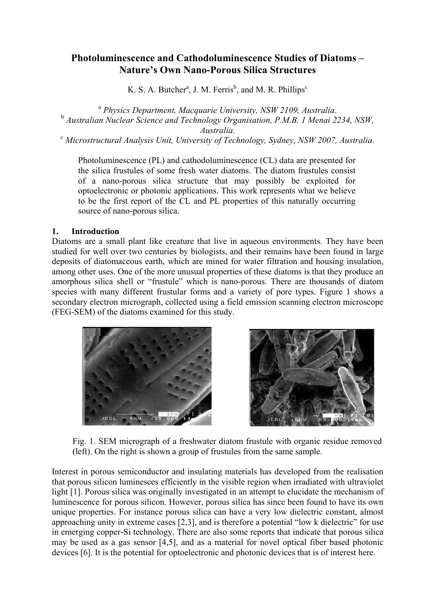# **Photoluminescence and Cathodoluminescence Studies of Diatoms – Nature's Own Nano-Porous Silica Structures**

K. S. A. Butcher<sup>a</sup>, J. M. Ferris<sup>b</sup>, and M. R. Phillips<sup>c</sup>

<sup>a</sup> *Physics Department, Macquarie University, NSW 2109, Australia.*  <sup>b</sup> *Australian Nuclear Science and Technology Organisation, P.M.B. 1 Menai 2234, NSW, Australia.* <sup>c</sup> *Microstructural Analysis Unit, University of Technology, Sydney, NSW 2007, Australia.* 

Photoluminescence (PL) and cathodoluminescence (CL) data are presented for the silica frustules of some fresh water diatoms. The diatom frustules consist of a nano-porous silica structure that may possibly be exploited for optoelectronic or photonic applications. This work represents what we believe to be the first report of the CL and PL properties of this naturally occurring source of nano-porous silica.

### **1. Introduction**

Diatoms are a small plant like creature that live in aqueous environments. They have been studied for well over two centuries by biologists, and their remains have been found in large deposits of diatomaceous earth, which are mined for water filtration and housing insulation, among other uses. One of the more unusual properties of these diatoms is that they produce an amorphous silica shell or "frustule" which is nano-porous. There are thousands of diatom species with many different frustular forms and a variety of pore types. Figure 1 shows a secondary electron micrograph, collected using a field emission scanning electron microscope (FEG-SEM) of the diatoms examined for this study.





Fig. 1. SEM micrograph of a freshwater diatom frustule with organic residue removed (left). On the right is shown a group of frustules from the same sample.

Interest in porous semiconductor and insulating materials has developed from the realisation that porous silicon luminesces efficiently in the visible region when irradiated with ultraviolet light [1]. Porous silica was originally investigated in an attempt to elucidate the mechanism of luminescence for porous silicon. However, porous silica has since been found to have its own unique properties. For instance porous silica can have a very low dielectric constant, almost approaching unity in extreme cases [2,3], and is therefore a potential "low k dielectric" for use in emerging copper-Si technology. There are also some reports that indicate that porous silica may be used as a gas sensor [4,5], and as a material for novel optical fiber based photonic devices [6]. It is the potential for optoelectronic and photonic devices that is of interest here.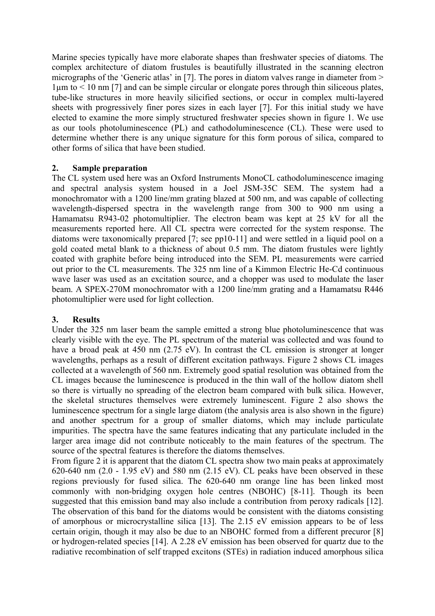Marine species typically have more elaborate shapes than freshwater species of diatoms. The complex architecture of diatom frustules is beautifully illustrated in the scanning electron micrographs of the 'Generic atlas' in [7]. The pores in diatom valves range in diameter from >  $1\mu$ m to  $\leq 10$  nm [7] and can be simple circular or elongate pores through thin siliceous plates, tube-like structures in more heavily silicified sections, or occur in complex multi-layered sheets with progressively finer pores sizes in each layer [7]. For this initial study we have elected to examine the more simply structured freshwater species shown in figure 1. We use as our tools photoluminescence (PL) and cathodoluminescence (CL). These were used to determine whether there is any unique signature for this form porous of silica, compared to other forms of silica that have been studied.

## **2. Sample preparation**

The CL system used here was an Oxford Instruments MonoCL cathodoluminescence imaging and spectral analysis system housed in a Joel JSM-35C SEM. The system had a monochromator with a 1200 line/mm grating blazed at 500 nm, and was capable of collecting wavelength-dispersed spectra in the wavelength range from 300 to 900 nm using a Hamamatsu R943-02 photomultiplier. The electron beam was kept at 25 kV for all the measurements reported here. All CL spectra were corrected for the system response. The diatoms were taxonomically prepared [7; see pp10-11] and were settled in a liquid pool on a gold coated metal blank to a thickness of about 0.5 mm. The diatom frustules were lightly coated with graphite before being introduced into the SEM. PL measurements were carried out prior to the CL measurements. The 325 nm line of a Kimmon Electric He-Cd continuous wave laser was used as an excitation source, and a chopper was used to modulate the laser beam. A SPEX-270M monochromator with a 1200 line/mm grating and a Hamamatsu R446 photomultiplier were used for light collection.

## **3. Results**

Under the 325 nm laser beam the sample emitted a strong blue photoluminescence that was clearly visible with the eye. The PL spectrum of the material was collected and was found to have a broad peak at 450 nm (2.75 eV). In contrast the CL emission is stronger at longer wavelengths, perhaps as a result of different excitation pathways. Figure 2 shows CL images collected at a wavelength of 560 nm. Extremely good spatial resolution was obtained from the CL images because the luminescence is produced in the thin wall of the hollow diatom shell so there is virtually no spreading of the electron beam compared with bulk silica. However, the skeletal structures themselves were extremely luminescent. Figure 2 also shows the luminescence spectrum for a single large diatom (the analysis area is also shown in the figure) and another spectrum for a group of smaller diatoms, which may include particulate impurities. The spectra have the same features indicating that any particulate included in the larger area image did not contribute noticeably to the main features of the spectrum. The source of the spectral features is therefore the diatoms themselves.

From figure 2 it is apparent that the diatom CL spectra show two main peaks at approximately 620-640 nm  $(2.0 - 1.95 \text{ eV})$  and 580 nm  $(2.15 \text{ eV})$ . CL peaks have been observed in these regions previously for fused silica. The 620-640 nm orange line has been linked most commonly with non-bridging oxygen hole centres (NBOHC) [8-11]. Though its been suggested that this emission band may also include a contribution from peroxy radicals [12]. The observation of this band for the diatoms would be consistent with the diatoms consisting of amorphous or microcrystalline silica [13]. The 2.15 eV emission appears to be of less certain origin, though it may also be due to an NBOHC formed from a different precuror [8] or hydrogen-related species [14]. A 2.28 eV emission has been observed for quartz due to the radiative recombination of self trapped excitons (STEs) in radiation induced amorphous silica